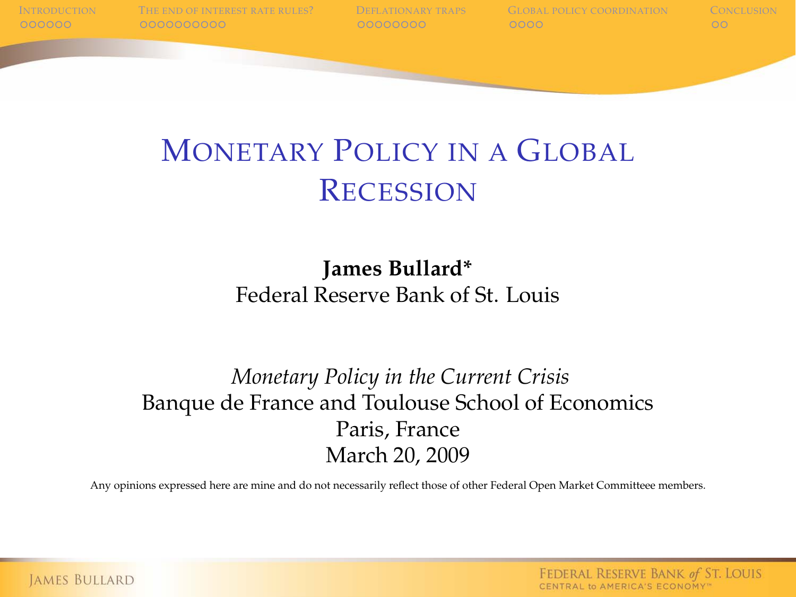# MONETARY POLICY IN A GLOBAL **RECESSION**

#### **James Bullard\*** Federal Reserve Bank of St. Louis

#### *Monetary Policy in the Current Crisis* Banque de France and Toulouse School of Economics Paris, France March 20, 2009

Any opinions expressed here are mine and do not necessarily reflect those of other Federal Open Market Committeee members.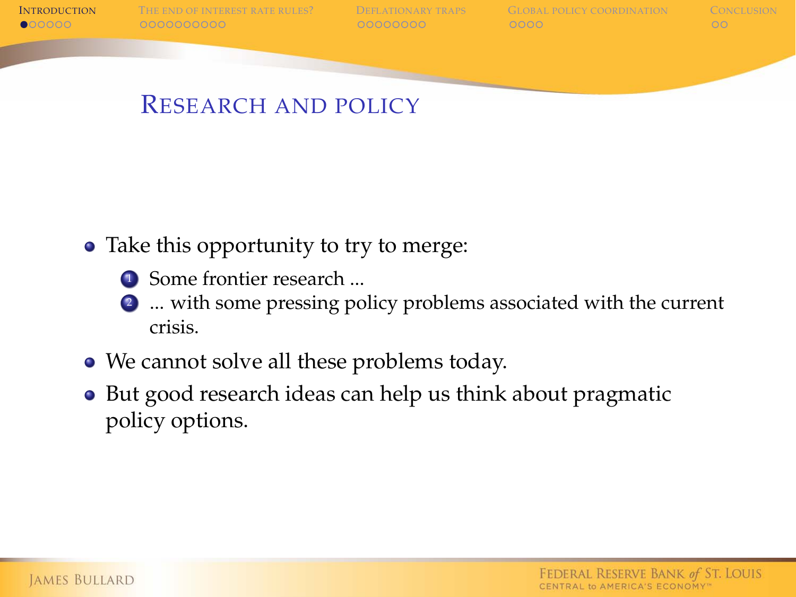

# RESEARCH AND POLICY

- Take this opportunity to try to merge:
	- **1** Some frontier research ...
	- <sup>2</sup> ... with some pressing policy problems associated with the current crisis.
- We cannot solve all these problems today.
- <span id="page-1-0"></span>• But good research ideas can help us think about pragmatic policy options.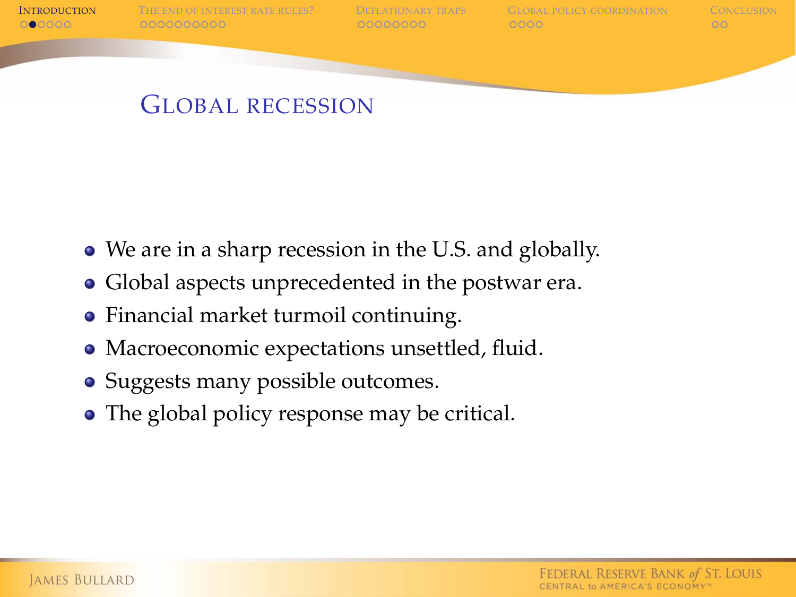

I[NTRODUCTION](#page-1-0) T[HE END OF INTEREST RATE RULES](#page-7-0)? D[EFLATIONARY TRAPS](#page-17-0) G[LOBAL POLICY COORDINATION](#page-25-0) C[ONCLUSION](#page-29-0)<br>COORDINATION COORDINATION COORDINATION COORDINATION COORDINATION COORDINATION

### GLOBAL RECESSION

- We are in a sharp recession in the U.S. and globally.
- Global aspects unprecedented in the postwar era.
- Financial market turmoil continuing.
- Macroeconomic expectations unsettled, fluid.
- Suggests many possible outcomes.
- The global policy response may be critical.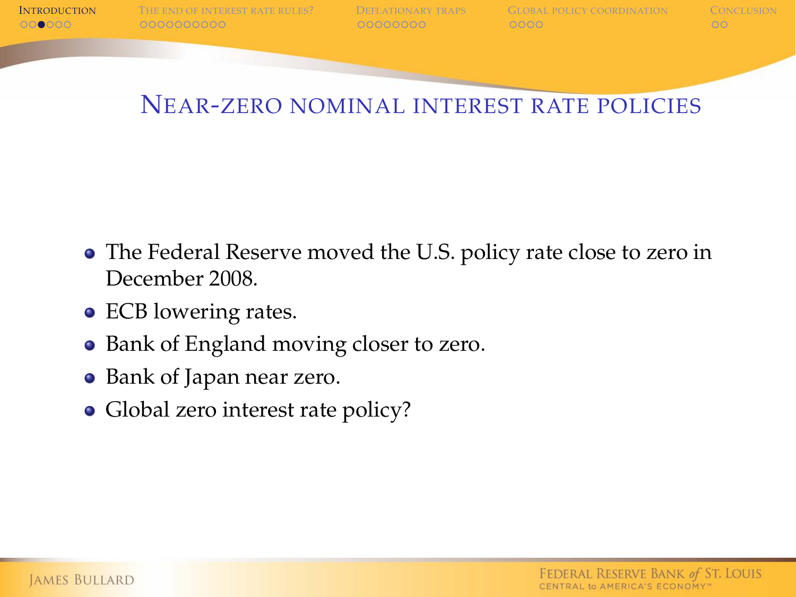

# NEAR-ZERO NOMINAL INTEREST RATE POLICIES

- The Federal Reserve moved the U.S. policy rate close to zero in December 2008.
- ECB lowering rates.
- Bank of England moving closer to zero.
- Bank of Japan near zero.
- Global zero interest rate policy?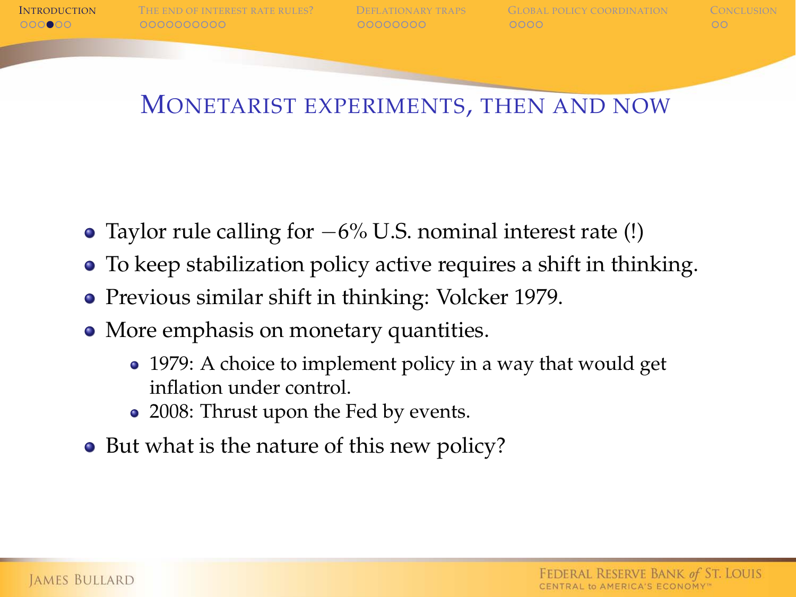

I[NTRODUCTION](#page-1-0) T[HE END OF INTEREST RATE RULES](#page-7-0)? D[EFLATIONARY TRAPS](#page-17-0) G[LOBAL POLICY COORDINATION](#page-25-0) C[ONCLUSION](#page-29-0)<br>OCOORDINATION COORDOOCOORDINATIONARY COORDOOCOORDINATION COORDOOCOORDINATION

# MONETARIST EXPERIMENTS, THEN AND NOW

- Taylor rule calling for  $-6\%$  U.S. nominal interest rate (!)
- To keep stabilization policy active requires a shift in thinking.
- Previous similar shift in thinking: Volcker 1979.
- More emphasis on monetary quantities.
	- 1979: A choice to implement policy in a way that would get inflation under control.
	- 2008: Thrust upon the Fed by events.
- But what is the nature of this new policy?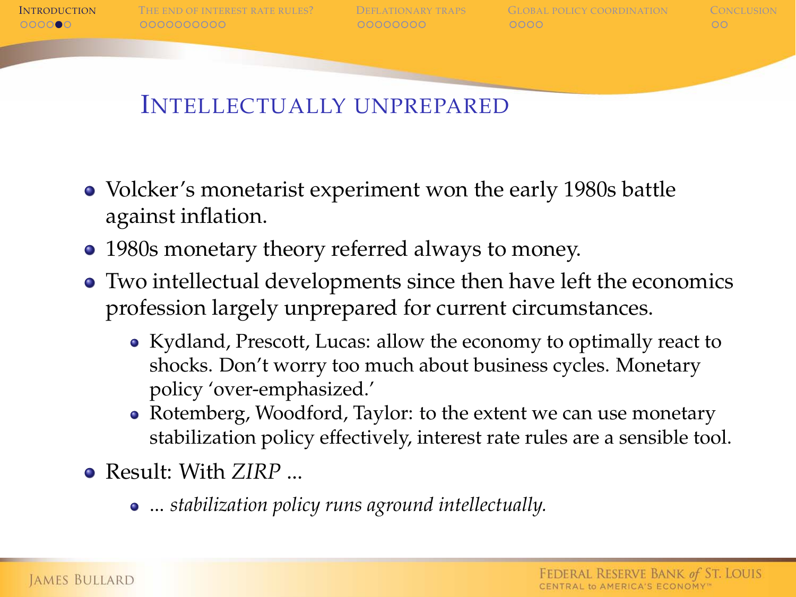

I[NTRODUCTION](#page-1-0) T[HE END OF INTEREST RATE RULES](#page-7-0)? D[EFLATIONARY TRAPS](#page-17-0) G[LOBAL POLICY COORDINATION](#page-25-0) C[ONCLUSION](#page-29-0)<br>OCOORDINATION COORDOODOOD COORDOODOOD COORDINATION COORDINATION COORDINATION

# INTELLECTUALLY UNPREPARED

- Volcker's monetarist experiment won the early 1980s battle against inflation.
- 1980s monetary theory referred always to money.
- Two intellectual developments since then have left the economics profession largely unprepared for current circumstances.
	- Kydland, Prescott, Lucas: allow the economy to optimally react to shocks. Don't worry too much about business cycles. Monetary policy 'over-emphasized.'
	- Rotemberg, Woodford, Taylor: to the extent we can use monetary stabilization policy effectively, interest rate rules are a sensible tool.
- Result: With *ZIRP* ...
	- ... *stabilization policy runs aground intellectually.*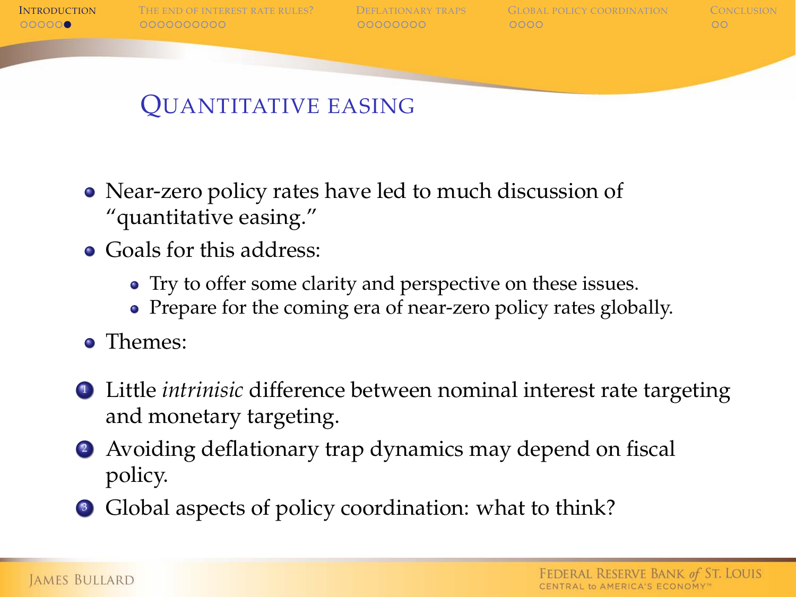

I[NTRODUCTION](#page-1-0) T[HE END OF INTEREST RATE RULES](#page-7-0)? D[EFLATIONARY TRAPS](#page-17-0) G[LOBAL POLICY COORDINATION](#page-25-0) C[ONCLUSION](#page-29-0)<br>OCOOCO COORDINATIONARY COORDINATION COORDINATION COORDINATION COO

# QUANTITATIVE EASING

- Near-zero policy rates have led to much discussion of "quantitative easing."
- **Goals for this address:** 
	- Try to offer some clarity and perspective on these issues.
	- Prepare for the coming era of near-zero policy rates globally.
- **o** Themes:
- <sup>1</sup> Little *intrinisic* difference between nominal interest rate targeting and monetary targeting.
- <sup>2</sup> Avoiding deflationary trap dynamics may depend on fiscal policy.
- Global aspects of policy coordination: what to think?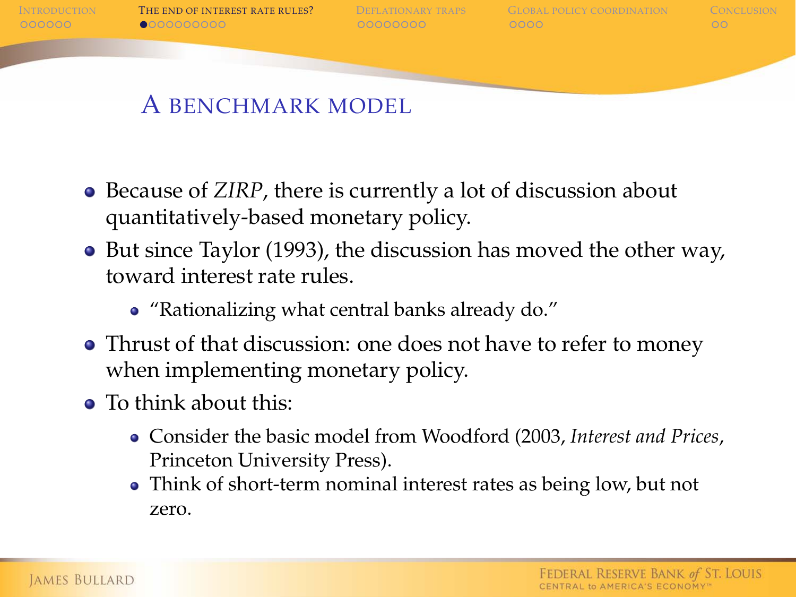

# A BENCHMARK MODEL

- Because of *ZIRP*, there is currently a lot of discussion about quantitatively-based monetary policy.
- But since Taylor (1993), the discussion has moved the other way, toward interest rate rules.
	- "Rationalizing what central banks already do."
- Thrust of that discussion: one does not have to refer to money when implementing monetary policy.
- <span id="page-7-0"></span>• To think about this:
	- Consider the basic model from Woodford (2003, *Interest and Prices*, Princeton University Press).
	- Think of short-term nominal interest rates as being low, but not zero.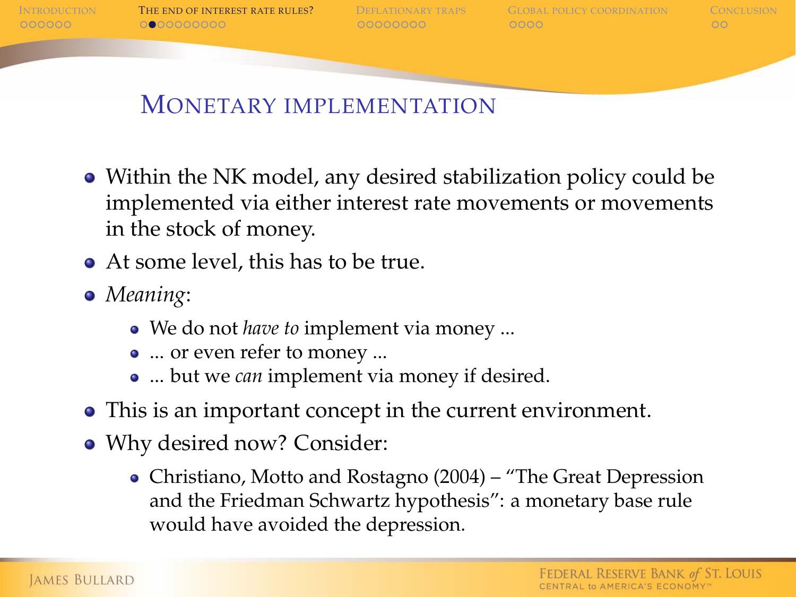

# MONETARY IMPLEMENTATION

- Within the NK model, any desired stabilization policy could be implemented via either interest rate movements or movements in the stock of money.
- At some level, this has to be true.
- *Meaning*:
	- We do not *have to* implement via money ...
	- ... or even refer to money ...
	- ... but we *can* implement via money if desired.
- This is an important concept in the current environment.
- Why desired now? Consider:
	- Christiano, Motto and Rostagno (2004) "The Great Depression and the Friedman Schwartz hypothesis": a monetary base rule would have avoided the depression.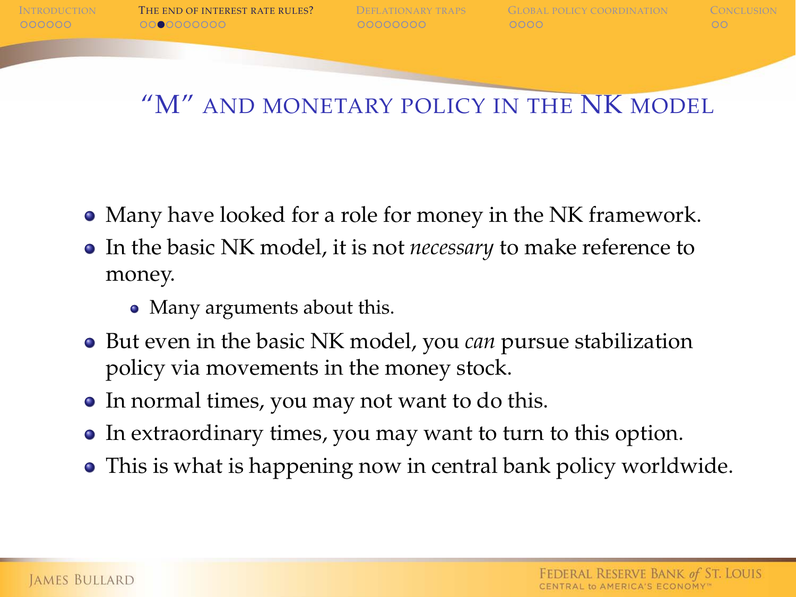

# "M" AND MONETARY POLICY IN THE NK MODEL

- Many have looked for a role for money in the NK framework.
- In the basic NK model, it is not *necessary* to make reference to money.
	- Many arguments about this.
- But even in the basic NK model, you *can* pursue stabilization policy via movements in the money stock.
- In normal times, you may not want to do this.
- In extraordinary times, you may want to turn to this option.
- This is what is happening now in central bank policy worldwide.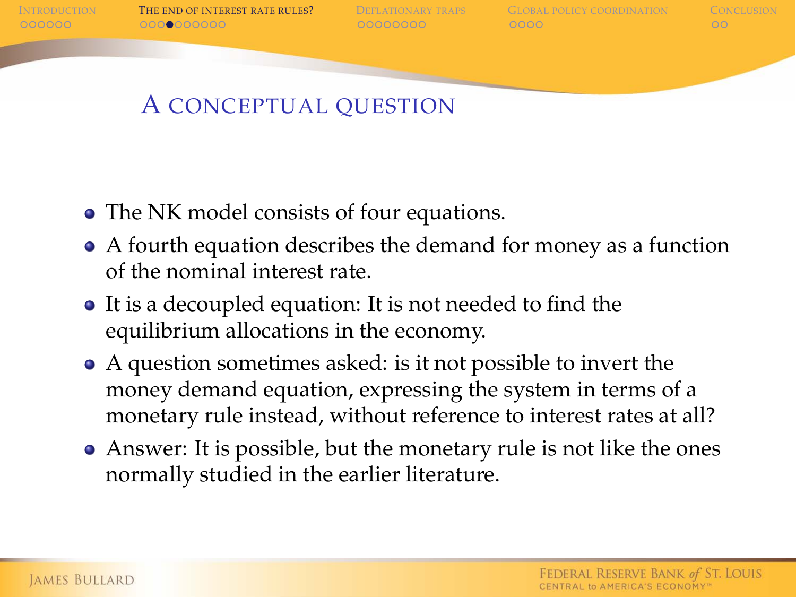$0000000$ 

I[NTRODUCTION](#page-1-0) T[HE END OF INTEREST RATE RULES](#page-7-0)? D[EFLATIONARY TRAPS](#page-17-0) G[LOBAL POLICY COORDINATION](#page-25-0) C[ONCLUSION](#page-29-0)

# A CONCEPTUAL QUESTION

- The NK model consists of four equations.
- A fourth equation describes the demand for money as a function of the nominal interest rate.
- It is a decoupled equation: It is not needed to find the equilibrium allocations in the economy.
- A question sometimes asked: is it not possible to invert the money demand equation, expressing the system in terms of a monetary rule instead, without reference to interest rates at all?
- Answer: It is possible, but the monetary rule is not like the ones normally studied in the earlier literature.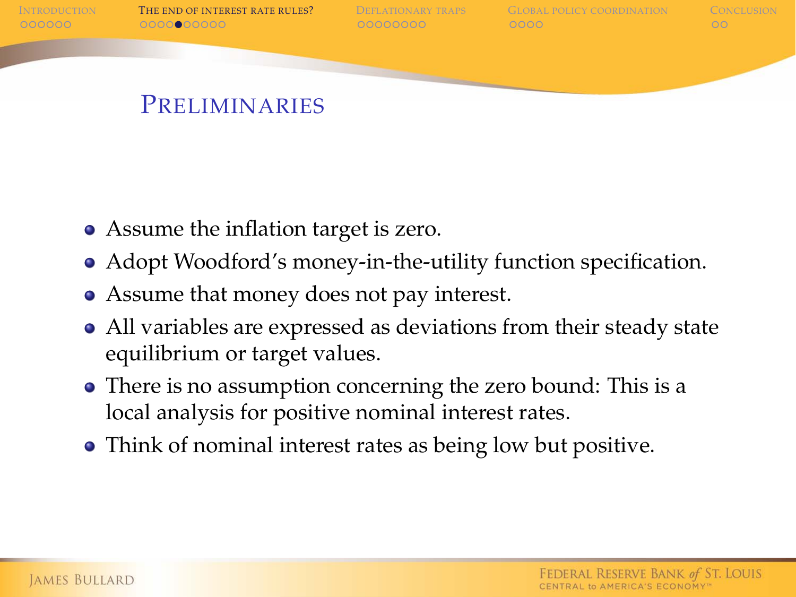

#### **PRELIMINARIES**

- Assume the inflation target is zero.
- Adopt Woodford's money-in-the-utility function specification.
- Assume that money does not pay interest.
- All variables are expressed as deviations from their steady state equilibrium or target values.
- There is no assumption concerning the zero bound: This is a local analysis for positive nominal interest rates.
- Think of nominal interest rates as being low but positive.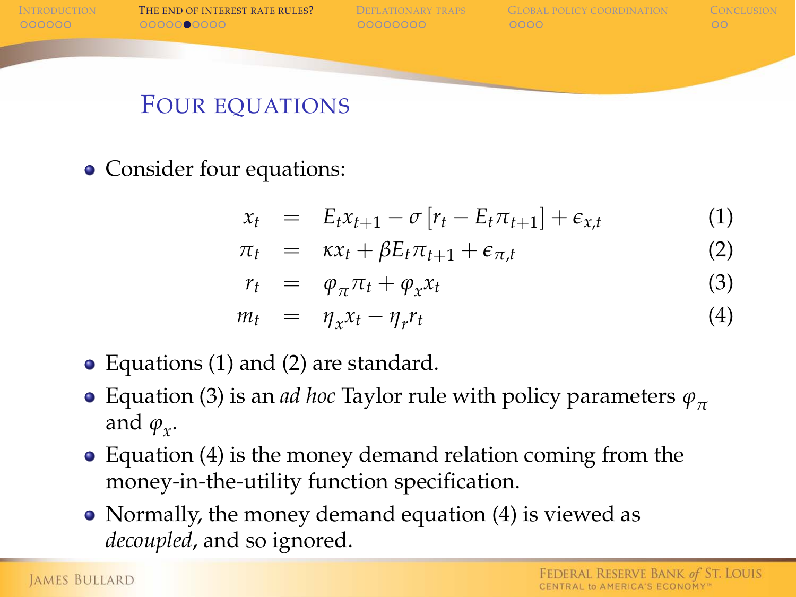

#### FOUR EQUATIONS

• Consider four equations:

<span id="page-12-0"></span>
$$
x_t = E_t x_{t+1} - \sigma [r_t - E_t \pi_{t+1}] + \epsilon_{x,t} \tag{1}
$$

$$
\pi_t = \kappa x_t + \beta E_t \pi_{t+1} + \epsilon_{\pi,t} \tag{2}
$$

<span id="page-12-3"></span><span id="page-12-2"></span><span id="page-12-1"></span>
$$
r_t = \varphi_\pi \pi_t + \varphi_x x_t \tag{3}
$$

$$
m_t = \eta_x x_t - \eta_r r_t \tag{4}
$$

- Equations [\(1\)](#page-12-0) and [\(2\)](#page-12-1) are standard.
- Equation [\(3\)](#page-12-2) is an *ad hoc* Taylor rule with policy parameters *ϕ<sup>π</sup>* and  $\varphi_x$ .
- Equation [\(4\)](#page-12-3) is the money demand relation coming from the money-in-the-utility function specification.
- Normally, the money demand equation [\(4\)](#page-12-3) is viewed as *decoupled*, and so ignored.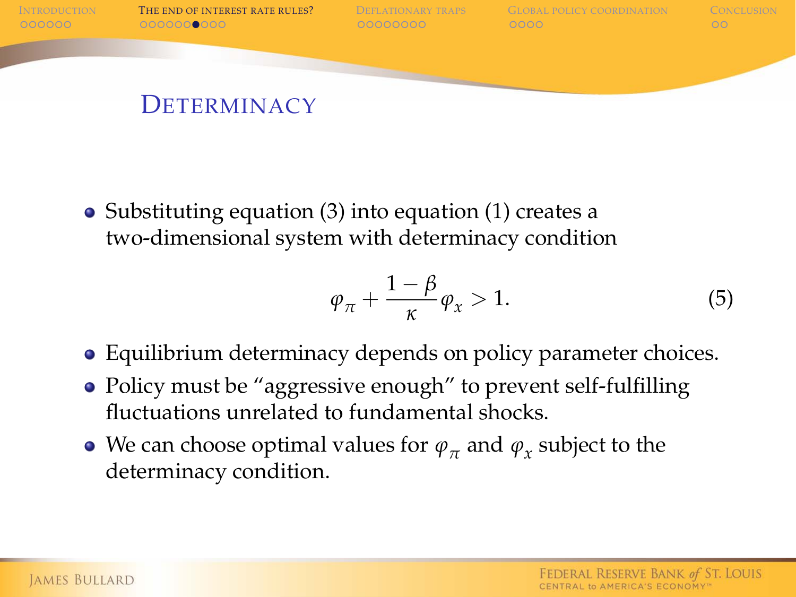

• Substituting equation [\(3\)](#page-12-2) into equation [\(1\)](#page-12-0) creates a two-dimensional system with determinacy condition

$$
\varphi_{\pi} + \frac{1 - \beta}{\kappa} \varphi_{x} > 1. \tag{5}
$$

- Equilibrium determinacy depends on policy parameter choices.
- Policy must be "aggressive enough" to prevent self-fulfilling fluctuations unrelated to fundamental shocks.
- We can choose optimal values for  $\varphi_{\pi}$  and  $\varphi_{x}$  subject to the determinacy condition.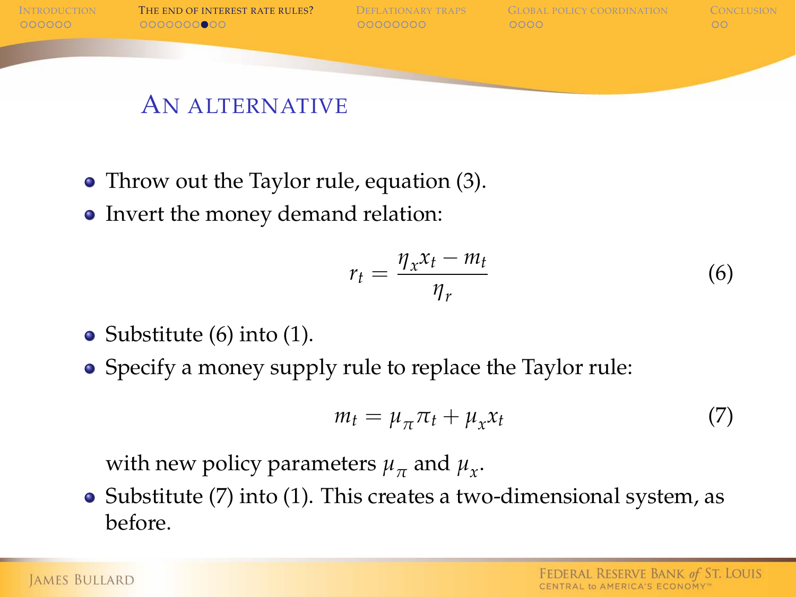

#### AN ALTERNATIVE

- Throw out the Taylor rule, equation [\(3\)](#page-12-2).
- Invert the money demand relation:

<span id="page-14-0"></span>
$$
r_t = \frac{\eta_x x_t - m_t}{\eta_r} \tag{6}
$$

- Substitute  $(6)$  into  $(1)$ .
- Specify a money supply rule to replace the Taylor rule:

<span id="page-14-1"></span>
$$
m_t = \mu_\pi \pi_t + \mu_x x_t \tag{7}
$$

with new policy parameters  $\mu_{\pi}$  and  $\mu_{x}$ .

• Substitute [\(7\)](#page-14-1) into [\(1\)](#page-12-0). This creates a two-dimensional system, as before.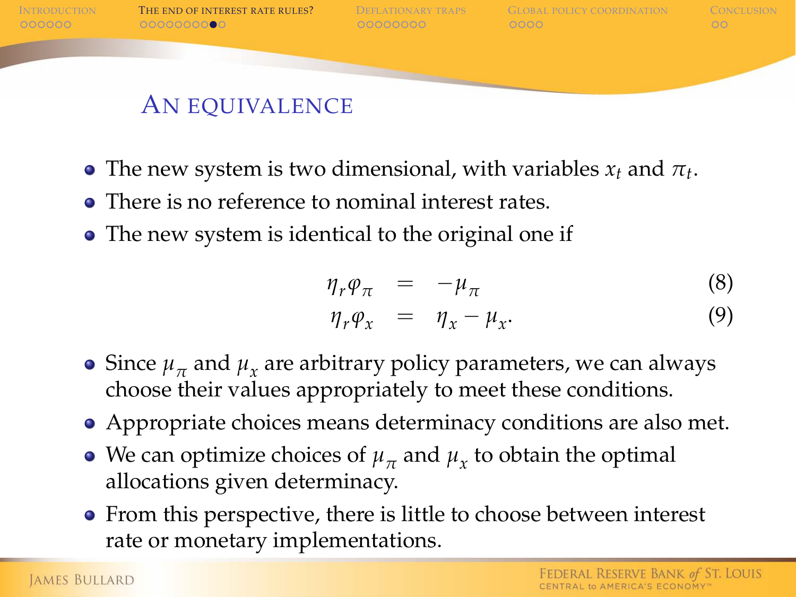

- The new system is two dimensional, with variables  $x_t$  and  $\pi_t$ .
- There is no reference to nominal interest rates.
- The new system is identical to the original one if

$$
\eta_r \varphi_\pi = -\mu_\pi \tag{8}
$$
  

$$
\eta_r \varphi_x = \eta_x - \mu_x. \tag{9}
$$

- Since  $\mu_{\pi}$  and  $\mu_{\chi}$  are arbitrary policy parameters, we can always choose their values appropriately to meet these conditions.
- Appropriate choices means determinacy conditions are also met.
- We can optimize choices of  $\mu_{\pi}$  and  $\mu_{x}$  to obtain the optimal allocations given determinacy.
- From this perspective, there is little to choose between interest rate or monetary implementations.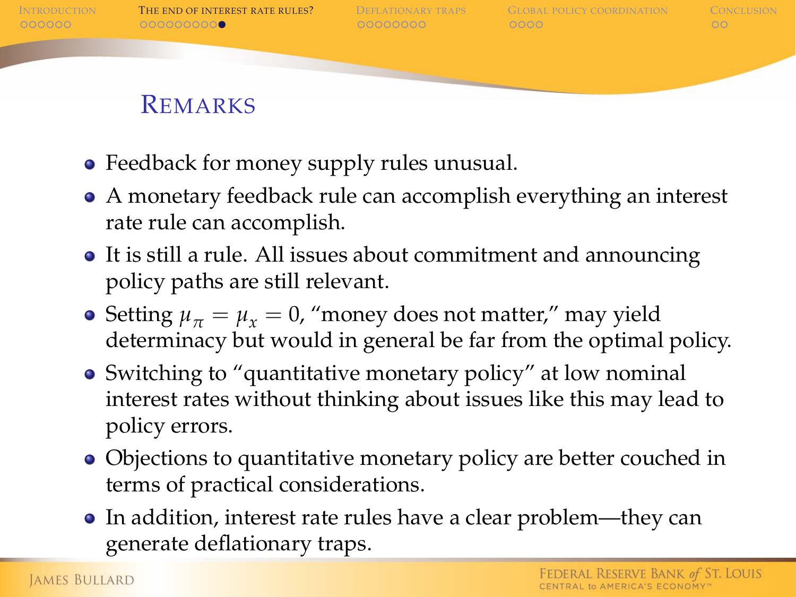

### REMARKS

- Feedback for money supply rules unusual.
- A monetary feedback rule can accomplish everything an interest rate rule can accomplish.
- It is still a rule. All issues about commitment and announcing policy paths are still relevant.
- Setting  $\mu_{\pi} = \mu_{\tau} = 0$ , "money does not matter," may yield determinacy but would in general be far from the optimal policy.
- Switching to "quantitative monetary policy" at low nominal interest rates without thinking about issues like this may lead to policy errors.
- Objections to quantitative monetary policy are better couched in terms of practical considerations.
- In addition, interest rate rules have a clear problem—they can generate deflationary traps.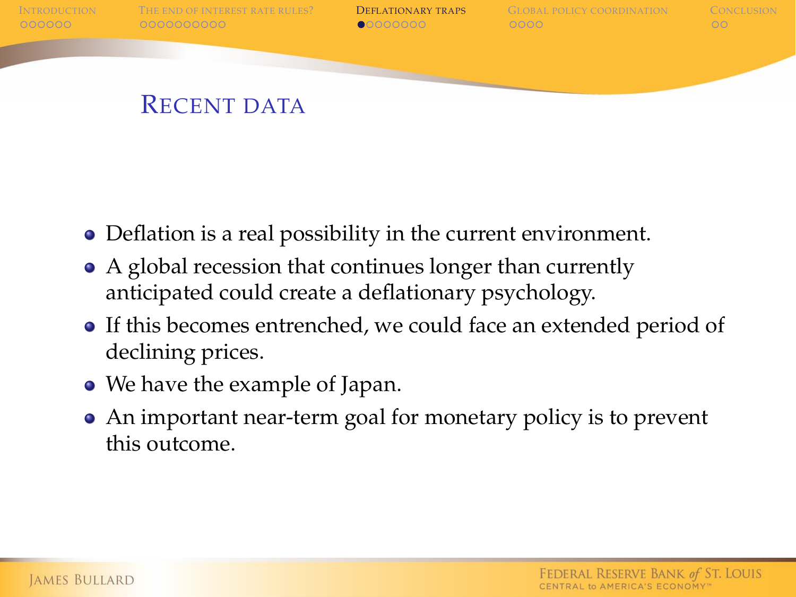

- Deflation is a real possibility in the current environment.
- A global recession that continues longer than currently anticipated could create a deflationary psychology.
- If this becomes entrenched, we could face an extended period of declining prices.
- We have the example of Japan.
- <span id="page-17-0"></span>An important near-term goal for monetary policy is to prevent this outcome.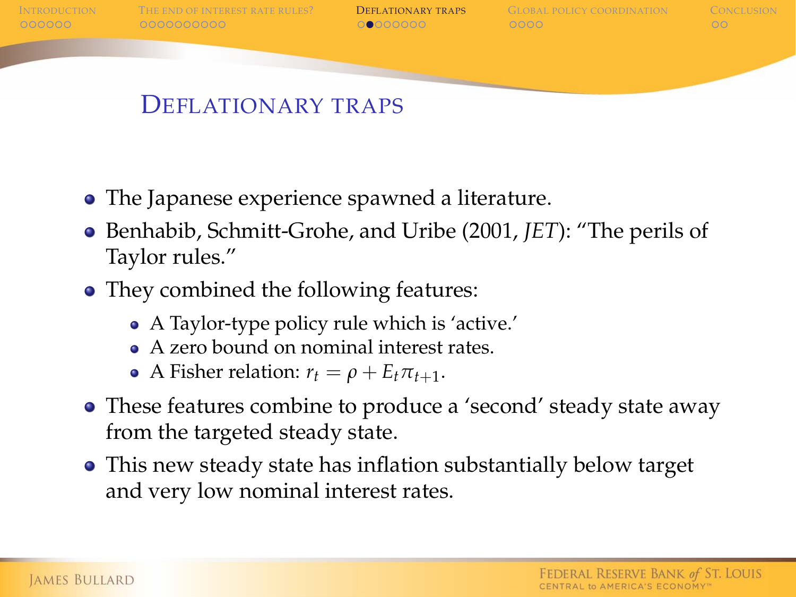

- The Japanese experience spawned a literature.
- Benhabib, Schmitt-Grohe, and Uribe (2001, *JET*): "The perils of Taylor rules."
- They combined the following features:
	- A Taylor-type policy rule which is 'active.'
	- A zero bound on nominal interest rates.
	- A Fisher relation:  $r_t = \rho + E_t \pi_{t+1}$ .
- These features combine to produce a 'second' steady state away from the targeted steady state.
- This new steady state has inflation substantially below target and very low nominal interest rates.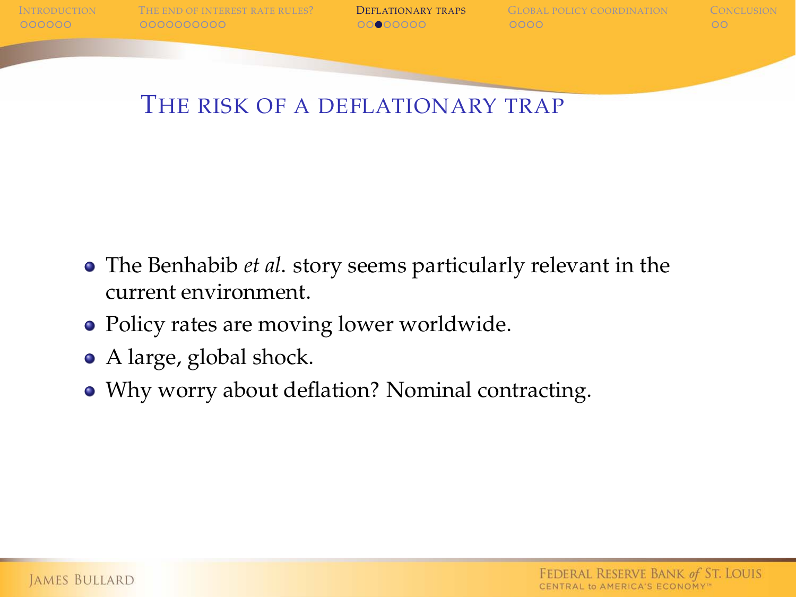

I[NTRODUCTION](#page-1-0) T[HE END OF INTEREST RATE RULES](#page-7-0)? **D[EFLATIONARY TRAPS](#page-17-0)** G[LOBAL POLICY COORDINATION](#page-25-0) C[ONCLUSION](#page-29-0)<br>COORDOO COORDOODOO COORDOODO COORDOODO COORDOODO COORDOODO COO

THE RISK OF A DEFLATIONARY TRAP

- The Benhabib *et al*. story seems particularly relevant in the current environment.
- Policy rates are moving lower worldwide.
- A large, global shock.
- Why worry about deflation? Nominal contracting.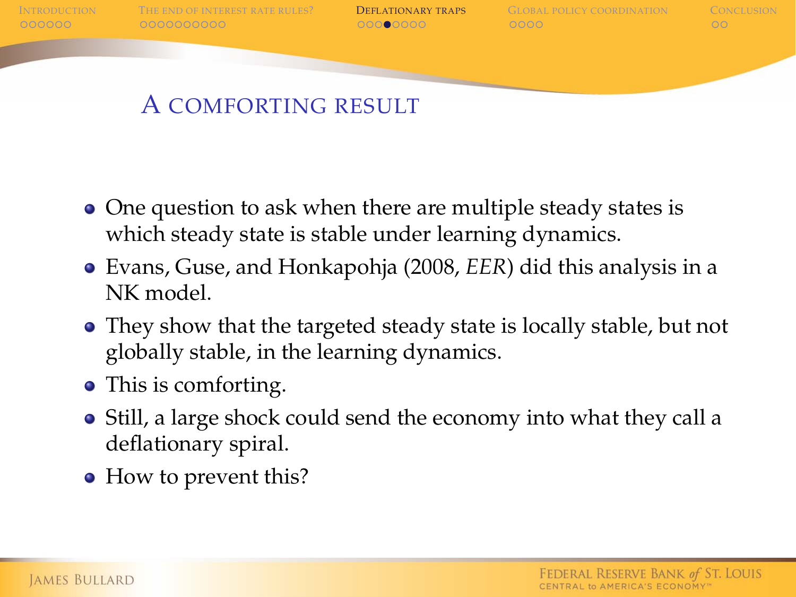

### A COMFORTING RESULT

- One question to ask when there are multiple steady states is which steady state is stable under learning dynamics.
- Evans, Guse, and Honkapohja (2008, *EER*) did this analysis in a NK model.
- They show that the targeted steady state is locally stable, but not globally stable, in the learning dynamics.
- This is comforting.
- Still, a large shock could send the economy into what they call a deflationary spiral.
- How to prevent this?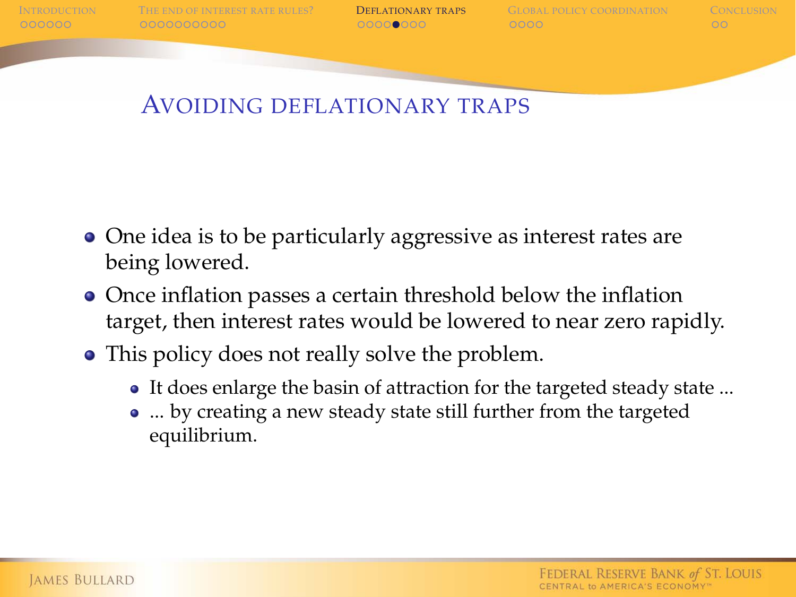I[NTRODUCTION](#page-1-0) T[HE END OF INTEREST RATE RULES](#page-7-0)? **D[EFLATIONARY TRAPS](#page-17-0)** G[LOBAL POLICY COORDINATION](#page-25-0) C[ONCLUSION](#page-29-0)<br>COORDOO COORDOODOO COORDOOD COORDOOD COORDOO

### AVOIDING DEFLATIONARY TRAPS

- One idea is to be particularly aggressive as interest rates are being lowered.
- Once inflation passes a certain threshold below the inflation target, then interest rates would be lowered to near zero rapidly.
- This policy does not really solve the problem.
	- It does enlarge the basin of attraction for the targeted steady state ...
	- ... by creating a new steady state still further from the targeted equilibrium.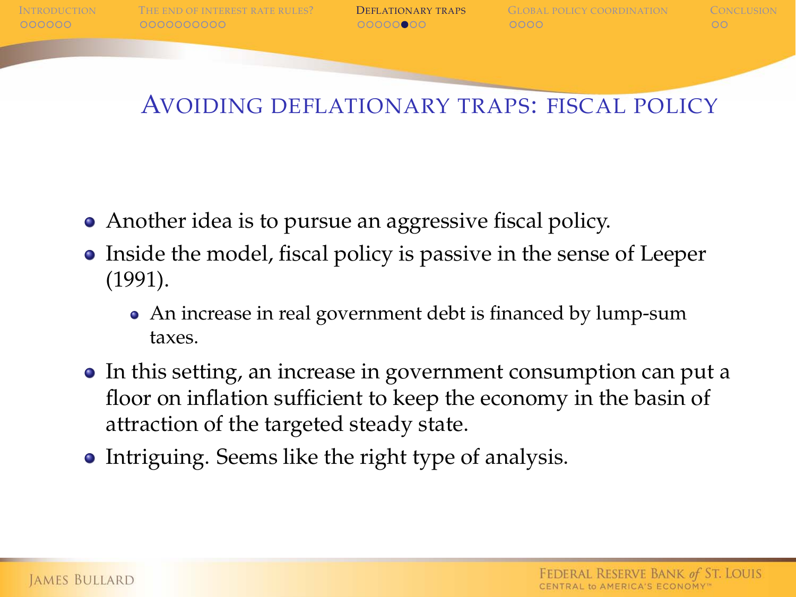I[NTRODUCTION](#page-1-0) T[HE END OF INTEREST RATE RULES](#page-7-0)? **D[EFLATIONARY TRAPS](#page-17-0)** G[LOBAL POLICY COORDINATION](#page-25-0) C[ONCLUSION](#page-29-0)<br>OROOCOOR COORDOOCOORDOO COORDOO COORDOO

### AVOIDING DEFLATIONARY TRAPS: FISCAL POLICY

- Another idea is to pursue an aggressive fiscal policy.
- Inside the model, fiscal policy is passive in the sense of Leeper (1991).
	- An increase in real government debt is financed by lump-sum taxes.
- In this setting, an increase in government consumption can put a floor on inflation sufficient to keep the economy in the basin of attraction of the targeted steady state.
- Intriguing. Seems like the right type of analysis.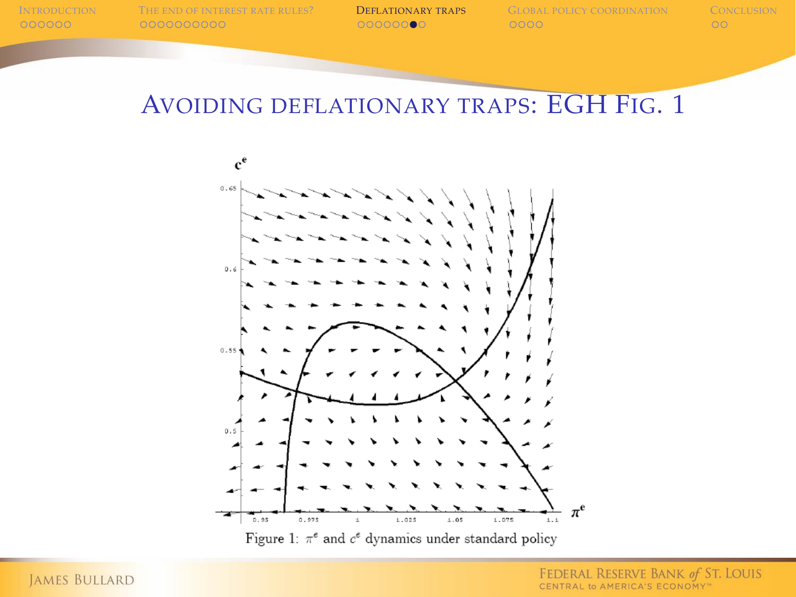### AVOIDING DEFLATIONARY TRAPS: EGH FIG. 1



Figure 1:  $\pi^e$  and  $c^e$  dynamics under standard policy

FEDERAL RESERVE BANK of ST. LOUIS CENTRAL to AMERICA'S ECONOMY"

JAMES BULLARD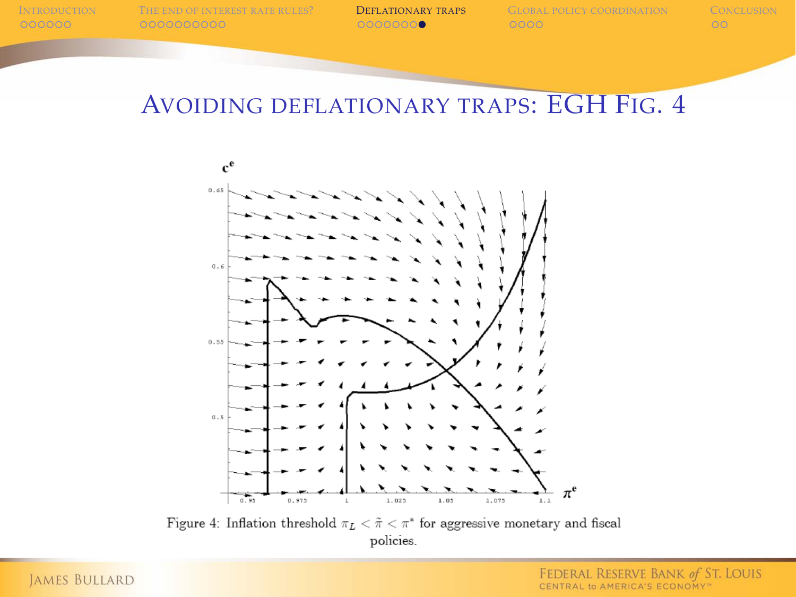### AVOIDING DEFLATIONARY TRAPS: EGH FIG. 4



Figure 4: Inflation threshold  $\pi_L<\tilde{\pi}<\pi^*$  for aggressive monetary and fiscal policies.

**JAMES BULLARD**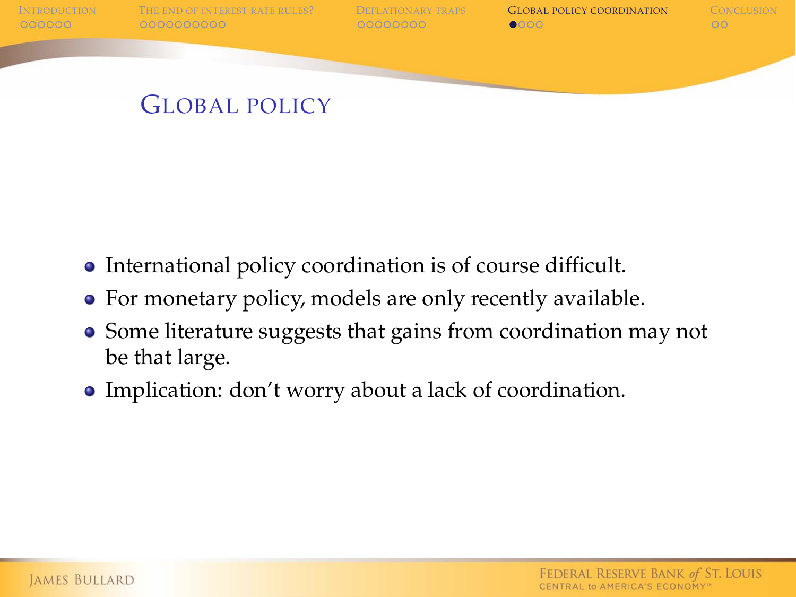

GLOBAL POLICY

- International policy coordination is of course difficult.
- For monetary policy, models are only recently available.
- Some literature suggests that gains from coordination may not be that large.
- <span id="page-25-0"></span>Implication: don't worry about a lack of coordination.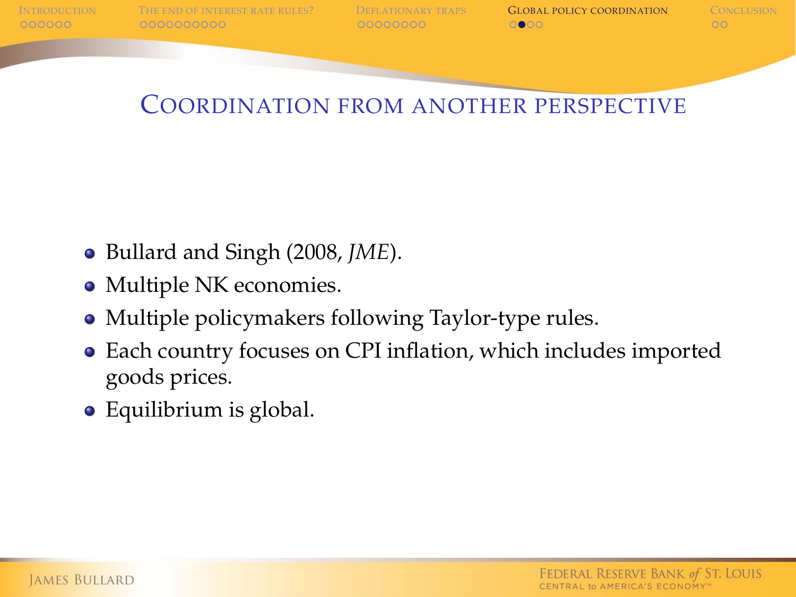

### COORDINATION FROM ANOTHER PERSPECTIVE

- Bullard and Singh (2008, *JME*).
- Multiple NK economies.
- Multiple policymakers following Taylor-type rules.
- Each country focuses on CPI inflation, which includes imported goods prices.
- Equilibrium is global.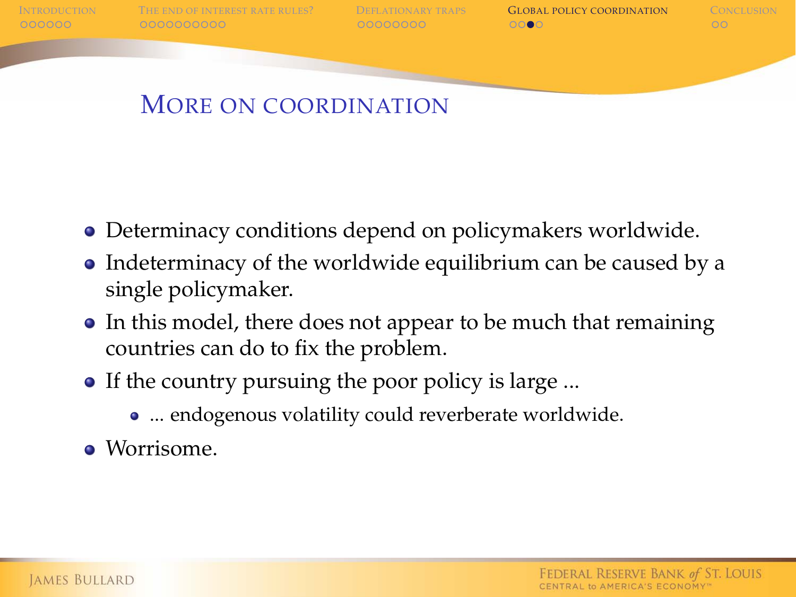

I[NTRODUCTION](#page-1-0) T[HE END OF INTEREST RATE RULES](#page-7-0)? D[EFLATIONARY TRAPS](#page-17-0) **G[LOBAL POLICY COORDINATION](#page-25-0)** C[ONCLUSION](#page-29-0)<br>COORDOOD COORDOODOOD COORDOODOOD OOD OOD OOD OO

## MORE ON COORDINATION

- Determinacy conditions depend on policymakers worldwide.
- Indeterminacy of the worldwide equilibrium can be caused by a single policymaker.
- In this model, there does not appear to be much that remaining countries can do to fix the problem.
- If the country pursuing the poor policy is large ...
	- ... endogenous volatility could reverberate worldwide.
- Worrisome.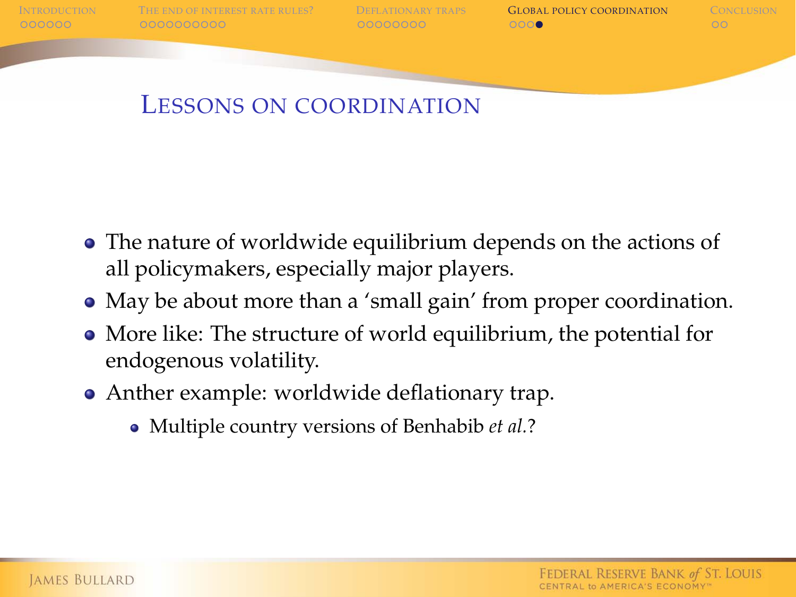

I[NTRODUCTION](#page-1-0) T[HE END OF INTEREST RATE RULES](#page-7-0)? D[EFLATIONARY TRAPS](#page-17-0) **G[LOBAL POLICY COORDINATION](#page-25-0)** C[ONCLUSION](#page-29-0)<br>COORDINATION COORDOODOOD COORDOODOOD COORDINATION CO

# LESSONS ON COORDINATION

- The nature of worldwide equilibrium depends on the actions of all policymakers, especially major players.
- May be about more than a 'small gain' from proper coordination.
- More like: The structure of world equilibrium, the potential for endogenous volatility.
- Anther example: worldwide deflationary trap.
	- Multiple country versions of Benhabib *et al.*?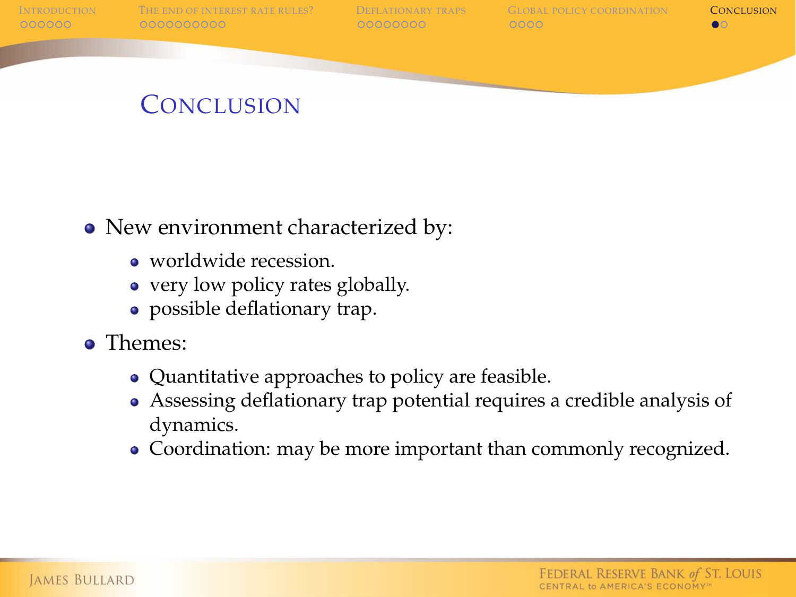



# **CONCLUSION**

- New environment characterized by:
	- worldwide recession.
	- very low policy rates globally.
	- possible deflationary trap.
- <span id="page-29-0"></span>Themes:
	- Quantitative approaches to policy are feasible.
	- Assessing deflationary trap potential requires a credible analysis of dynamics.
	- Coordination: may be more important than commonly recognized.